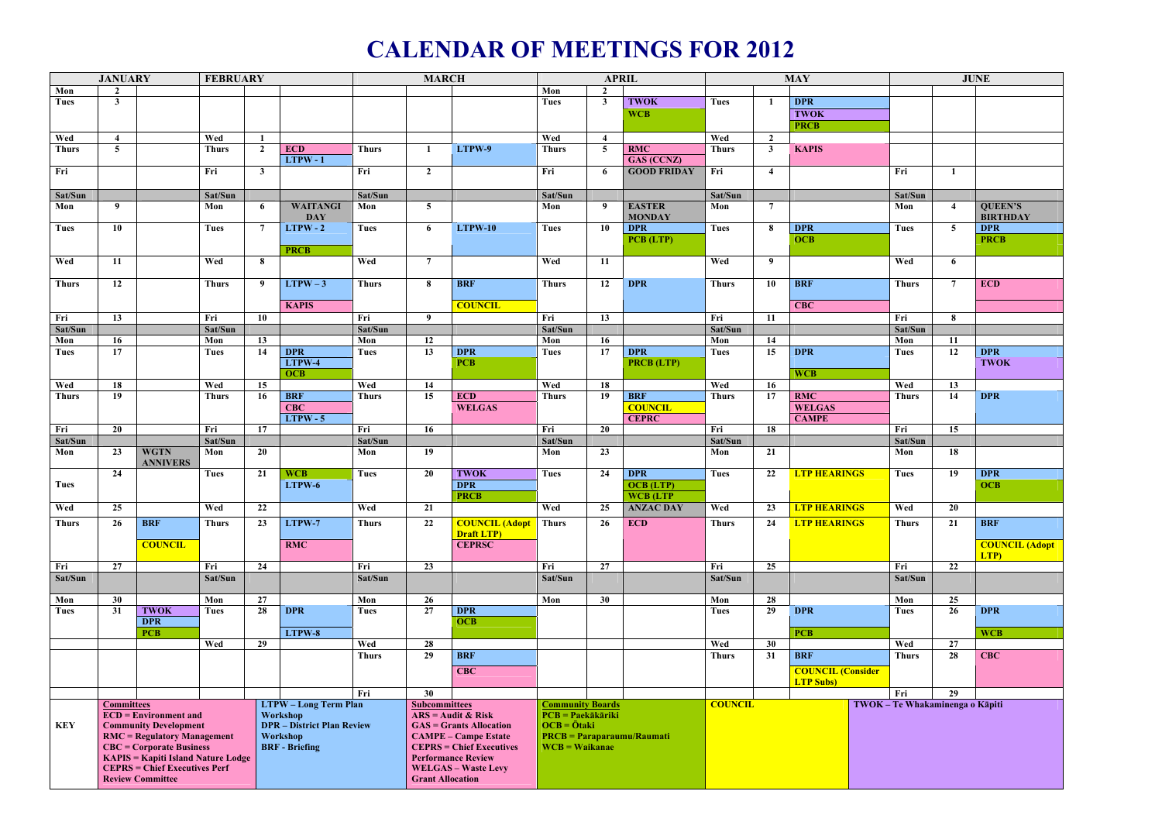## **CALENDAR OF MEETINGS FOR 2012**

|              | <b>JANUARY</b>                                          |                                | <b>FEBRUARY</b>                   |                              | <b>MARCH</b>          |              |                                 | <b>APRIL</b>                        |                                                |                 |                    | <b>MAY</b>     | <b>JUNE</b>     |                          |                                 |                 |                       |
|--------------|---------------------------------------------------------|--------------------------------|-----------------------------------|------------------------------|-----------------------|--------------|---------------------------------|-------------------------------------|------------------------------------------------|-----------------|--------------------|----------------|-----------------|--------------------------|---------------------------------|-----------------|-----------------------|
| Mon          | $\overline{2}$                                          |                                |                                   |                              |                       |              |                                 |                                     | Mon                                            | $\overline{2}$  |                    |                |                 |                          |                                 |                 |                       |
| <b>Tues</b>  | $\mathbf{3}$                                            |                                |                                   |                              |                       |              |                                 |                                     | <b>Tues</b>                                    | $\mathbf{3}$    | <b>TWOK</b>        | <b>Tues</b>    |                 | <b>DPR</b>               |                                 |                 |                       |
|              |                                                         |                                |                                   |                              |                       |              |                                 |                                     |                                                |                 | <b>WCB</b>         |                |                 | <b>TWOK</b>              |                                 |                 |                       |
|              |                                                         |                                |                                   |                              |                       |              |                                 |                                     |                                                |                 |                    |                |                 | <b>PRCB</b>              |                                 |                 |                       |
| Wed          | $\overline{4}$                                          |                                | Wed                               | $\mathbf{1}$                 |                       |              |                                 |                                     | Wed                                            | $\overline{4}$  |                    | Wed            | $\overline{2}$  |                          |                                 |                 |                       |
| <b>Thurs</b> | 5 <sup>5</sup>                                          |                                | <b>Thurs</b>                      | $\mathbf{2}$                 | <b>ECD</b>            | <b>Thurs</b> | $\mathbf{1}$                    | LTPW-9                              | <b>Thurs</b>                                   | 5 <sup>5</sup>  | <b>RMC</b>         | <b>Thurs</b>   | $\mathbf{3}$    | <b>KAPIS</b>             |                                 |                 |                       |
|              |                                                         |                                |                                   |                              | $LTPW - 1$            |              |                                 |                                     |                                                |                 | GAS (CCNZ)         |                |                 |                          |                                 |                 |                       |
| Fri          |                                                         |                                | Fri                               | $\mathbf{3}$                 |                       | Fri          | $\overline{2}$                  |                                     | Fri                                            | 6               | <b>GOOD FRIDAY</b> | Fri            | $\overline{4}$  |                          | Fri                             | $\mathbf{1}$    |                       |
|              |                                                         |                                |                                   |                              |                       |              |                                 |                                     |                                                |                 |                    |                |                 |                          |                                 |                 |                       |
| Sat/Sun      |                                                         |                                | Sat/Sun                           |                              |                       | Sat/Sun      |                                 |                                     | Sat/Sun                                        |                 |                    | Sat/Sun        |                 |                          | Sat/Sun                         |                 |                       |
| Mon          | $\boldsymbol{9}$                                        |                                | Mon                               | 6                            | <b>WAITANGI</b>       | Mon          | 5 <sup>5</sup>                  |                                     | Mon                                            | 9               | <b>EASTER</b>      | Mon            | $7\overline{ }$ |                          | Mon                             | $\overline{4}$  | <b>QUEEN'S</b>        |
|              |                                                         |                                |                                   |                              | <b>DAY</b>            |              |                                 |                                     |                                                |                 | <b>MONDAY</b>      |                |                 |                          |                                 |                 | <b>BIRTHDAY</b>       |
| <b>Tues</b>  | 10                                                      |                                | <b>Tues</b>                       | $\overline{7}$               | $LTPW - 2$            | <b>Tues</b>  | 6                               | <b>LTPW-10</b>                      | <b>Tues</b>                                    | 10              | <b>DPR</b>         | <b>Tues</b>    | 8               | <b>DPR</b>               | <b>Tues</b>                     | $\overline{5}$  | <b>DPR</b>            |
|              |                                                         |                                |                                   |                              |                       |              |                                 |                                     |                                                |                 | PCB (LTP)          |                |                 | <b>OCB</b>               |                                 |                 | <b>PRCB</b>           |
|              |                                                         |                                |                                   |                              | <b>PRCB</b>           |              |                                 |                                     |                                                |                 |                    |                |                 |                          |                                 |                 |                       |
| Wed          | 11                                                      |                                | Wed                               | 8                            |                       | Wed          | $7\overline{ }$                 |                                     | Wed                                            | 11              |                    | Wed            | 9               |                          | Wed                             | 6               |                       |
|              |                                                         |                                |                                   |                              |                       |              |                                 |                                     |                                                |                 |                    |                |                 |                          |                                 |                 |                       |
| <b>Thurs</b> | 12                                                      |                                | <b>Thurs</b>                      | 9                            | $LTPW-3$              | <b>Thurs</b> | 8                               | <b>BRF</b>                          | <b>Thurs</b>                                   | 12              | <b>DPR</b>         | <b>Thurs</b>   | 10              | <b>BRF</b>               | <b>Thurs</b>                    | $7\phantom{.0}$ | <b>ECD</b>            |
|              |                                                         |                                |                                   |                              |                       |              |                                 |                                     |                                                |                 |                    |                |                 |                          |                                 |                 |                       |
|              |                                                         |                                |                                   |                              | <b>KAPIS</b>          |              |                                 | <b>COUNCIL</b>                      |                                                |                 |                    |                |                 | <b>CBC</b>               |                                 |                 |                       |
| Fri          | 13                                                      |                                | Fri                               | 10                           |                       | Fri          | 9                               |                                     | Fri                                            | 13              |                    | Fri            | 11              |                          | Fri                             | 8               |                       |
| Sat/Sun      |                                                         |                                | Sat/Sun                           |                              |                       | Sat/Sun      |                                 |                                     | Sat/Sun                                        |                 |                    | Sat/Sun        |                 |                          | Sat/Sun                         |                 |                       |
| Mon          | 16                                                      |                                | Mon                               | 13                           |                       | Mon          | 12                              |                                     | Mon                                            | 16              |                    | Mon            | 14              |                          | Mon                             | 11              |                       |
| <b>Tues</b>  | 17                                                      |                                | Tues                              | 14                           | <b>DPR</b>            | <b>Tues</b>  | $\overline{13}$                 | <b>DPR</b>                          | Tues                                           | $\overline{17}$ | <b>DPR</b>         | <b>Tues</b>    | 15              | <b>DPR</b>               | <b>Tues</b>                     | 12              | <b>DPR</b>            |
|              |                                                         |                                |                                   |                              | LTPW-4                |              |                                 | <b>PCB</b>                          |                                                |                 | <b>PRCB</b> (LTP)  |                |                 |                          |                                 |                 | <b>TWOK</b>           |
|              |                                                         |                                |                                   |                              | <b>OCB</b>            |              |                                 |                                     |                                                |                 |                    |                |                 | <b>WCB</b>               |                                 |                 |                       |
| Wed          | 18                                                      |                                | Wed                               | 15                           |                       | Wed          | 14                              |                                     | Wed                                            | 18              |                    | Wed            | 16              |                          | Wed                             | 13              |                       |
| <b>Thurs</b> | 19                                                      |                                | <b>Thurs</b>                      | 16                           | <b>BRF</b>            | <b>Thurs</b> | 15                              | <b>ECD</b>                          | <b>Thurs</b>                                   | 19              | <b>BRF</b>         | <b>Thurs</b>   | 17              | <b>RMC</b>               | <b>Thurs</b>                    | 14              | <b>DPR</b>            |
|              |                                                         |                                |                                   |                              | <b>CBC</b>            |              |                                 | <b>WELGAS</b>                       |                                                |                 | <b>COUNCIL</b>     |                |                 | <b>WELGAS</b>            |                                 |                 |                       |
|              |                                                         |                                |                                   |                              | $LTPW - 5$            |              |                                 |                                     |                                                |                 | <b>CEPRC</b>       |                |                 | <b>CAMPE</b>             |                                 |                 |                       |
| Fri          | 20                                                      |                                | Fri                               | 17                           |                       | Fri          | 16                              |                                     | Fri                                            | 20              |                    | Fri            | 18              |                          | Fri                             | 15              |                       |
| Sat/Sun      |                                                         |                                | Sat/Sun                           |                              |                       | Sat/Sun      |                                 |                                     | Sat/Sun                                        | 23              |                    | Sat/Sun        |                 |                          | Sat/Sun                         |                 |                       |
| Mon          | 23                                                      | <b>WGTN</b><br><b>ANNIVERS</b> | Mon                               | 20                           |                       | Mon          | 19                              |                                     | Mon                                            |                 |                    | Mon            | 21              |                          | Mon                             | 18              |                       |
|              | 24                                                      |                                | <b>Tues</b>                       | 21                           | <b>WCB</b>            | <b>Tues</b>  | 20                              | <b>TWOK</b>                         | <b>Tues</b>                                    | 24              | <b>DPR</b>         | <b>Tues</b>    | 22              | <b>LTP HEARINGS</b>      | Tues                            | 19              | <b>DPR</b>            |
| Tues         |                                                         |                                |                                   |                              | LTPW-6                |              |                                 | <b>DPR</b>                          |                                                |                 | <b>OCB</b> (LTP)   |                |                 |                          |                                 |                 | <b>OCB</b>            |
|              |                                                         |                                |                                   |                              |                       |              |                                 | <b>PRCB</b>                         |                                                |                 | <b>WCB</b> (LTP    |                |                 |                          |                                 |                 |                       |
| Wed          | 25                                                      |                                | Wed                               | 22                           |                       | Wed          | 21                              |                                     | Wed                                            |                 | 25 ANZAC DAY       | Wed            |                 | 23 <b>LTP HEARINGS</b>   | Wed                             | $\overline{20}$ |                       |
|              |                                                         |                                |                                   |                              |                       |              |                                 |                                     |                                                |                 |                    |                |                 |                          |                                 |                 |                       |
| <b>Thurs</b> | 26                                                      | <b>BRF</b>                     | <b>Thurs</b>                      | 23                           | LTPW-7                | <b>Thurs</b> | 22                              | <b>COUNCIL (Adopt</b>               | <b>Thurs</b>                                   | 26              | ECD                | <b>Thurs</b>   | 24              | <b>LTP HEARINGS</b>      | <b>Thurs</b>                    | 21              | <b>BRF</b>            |
|              |                                                         | <b>COUNCIL</b>                 |                                   |                              | <b>RMC</b>            |              |                                 | <b>Draft LTP</b> )<br><b>CEPRSC</b> |                                                |                 |                    |                |                 |                          |                                 |                 | <b>COUNCIL (Adopt</b> |
|              |                                                         |                                |                                   |                              |                       |              |                                 |                                     |                                                |                 |                    |                |                 |                          |                                 |                 | LTP)                  |
| Fri          | $\overline{27}$                                         |                                | Fri                               | 24                           |                       | Fri          | $\overline{23}$                 |                                     | Fri                                            | $\overline{27}$ |                    | Fri            | 25              |                          | Fri                             | $\overline{22}$ |                       |
| Sat/Sun      |                                                         |                                | Sat/Sun                           |                              |                       | Sat/Sun      |                                 |                                     | Sat/Sun                                        |                 |                    | Sat/Sun        |                 |                          | Sat/Sun                         |                 |                       |
|              |                                                         |                                |                                   |                              |                       |              |                                 |                                     |                                                |                 |                    |                |                 |                          |                                 |                 |                       |
| Mon          | 30                                                      |                                | Mon                               | 27                           |                       | Mon          | 26                              |                                     | Mon                                            | 30 <sup>°</sup> |                    | Mon            | 28              |                          | Mon                             | 25              |                       |
| Tues         | 31                                                      | <b>TWOK</b>                    | Tues                              | 28                           | <b>DPR</b>            | Tues         | $\overline{27}$                 | <b>DPR</b>                          |                                                |                 |                    | Tues           | 29              | <b>DPR</b>               | <b>Tues</b>                     | 26              | <b>DPR</b>            |
|              |                                                         | <b>DPR</b>                     |                                   |                              |                       |              |                                 | <b>OCB</b>                          |                                                |                 |                    |                |                 |                          |                                 |                 |                       |
|              |                                                         | <b>PCB</b>                     |                                   |                              | LTPW-8                |              |                                 |                                     |                                                |                 |                    |                |                 | <b>PCB</b>               |                                 |                 | <b>WCB</b>            |
|              |                                                         |                                | Wed                               | 29                           |                       | Wed          | 28                              |                                     |                                                |                 |                    | Wed            | 30              |                          | Wed                             | 27              |                       |
|              |                                                         |                                |                                   |                              |                       | <b>Thurs</b> | $\overline{29}$                 | <b>BRF</b>                          |                                                |                 |                    | <b>Thurs</b>   | 31              | <b>BRF</b>               | <b>Thurs</b>                    | $\overline{28}$ | <b>CBC</b>            |
|              |                                                         |                                |                                   |                              |                       |              |                                 | <b>CBC</b>                          |                                                |                 |                    |                |                 | <b>COUNCIL (Consider</b> |                                 |                 |                       |
|              |                                                         |                                |                                   |                              |                       |              |                                 |                                     |                                                |                 |                    |                |                 | <b>LTP Subs)</b>         |                                 |                 |                       |
|              |                                                         |                                |                                   |                              | Fri                   | 30           |                                 |                                     |                                                |                 |                    |                |                 | Fri                      | 29                              |                 |                       |
|              | <b>Committees</b><br>$\overline{ECD}$ = Environment and |                                |                                   | <b>LTPW - Long Term Plan</b> |                       |              | <b>Subcommittees</b>            |                                     | <b>Community Boards</b><br>$PCB = Paekākāriki$ |                 |                    | <b>COUNCIL</b> |                 |                          | TWOK - Te Whakaminenga o Kāpiti |                 |                       |
|              |                                                         |                                |                                   | Workshop                     |                       |              |                                 | $ARS = \text{Audit} \& \text{Risk}$ |                                                |                 |                    |                |                 |                          |                                 |                 |                       |
| <b>KEY</b>   | <b>Community Development</b>                            |                                | <b>DPR</b> - District Plan Review |                              |                       |              | <b>GAS</b> = Grants Allocation  |                                     | $OCB = \bar{O}$ taki                           |                 |                    |                |                 |                          |                                 |                 |                       |
|              | $RMC = Regularory Management$                           |                                |                                   | Workshop                     |                       |              | <b>CAMPE – Campe Estate</b>     |                                     | <b>PRCB</b> = Paraparaumu/Raumati              |                 |                    |                |                 |                          |                                 |                 |                       |
|              | <b>CBC</b> = Corporate Business                         |                                |                                   |                              | <b>BRF</b> - Briefing |              | <b>CEPRS = Chief Executives</b> |                                     | $WCB = Waikanae$                               |                 |                    |                |                 |                          |                                 |                 |                       |
|              | <b>KAPIS = Kapiti Island Nature Lodge</b>               |                                |                                   |                              |                       |              |                                 | <b>Performance Review</b>           |                                                |                 |                    |                |                 |                          |                                 |                 |                       |
|              | <b>CEPRS = Chief Executives Perf</b>                    |                                |                                   |                              |                       |              |                                 | <b>WELGAS - Waste Levy</b>          |                                                |                 |                    |                |                 |                          |                                 |                 |                       |
|              | <b>Review Committee</b>                                 |                                |                                   |                              |                       |              |                                 | <b>Grant Allocation</b>             |                                                |                 |                    |                |                 |                          |                                 |                 |                       |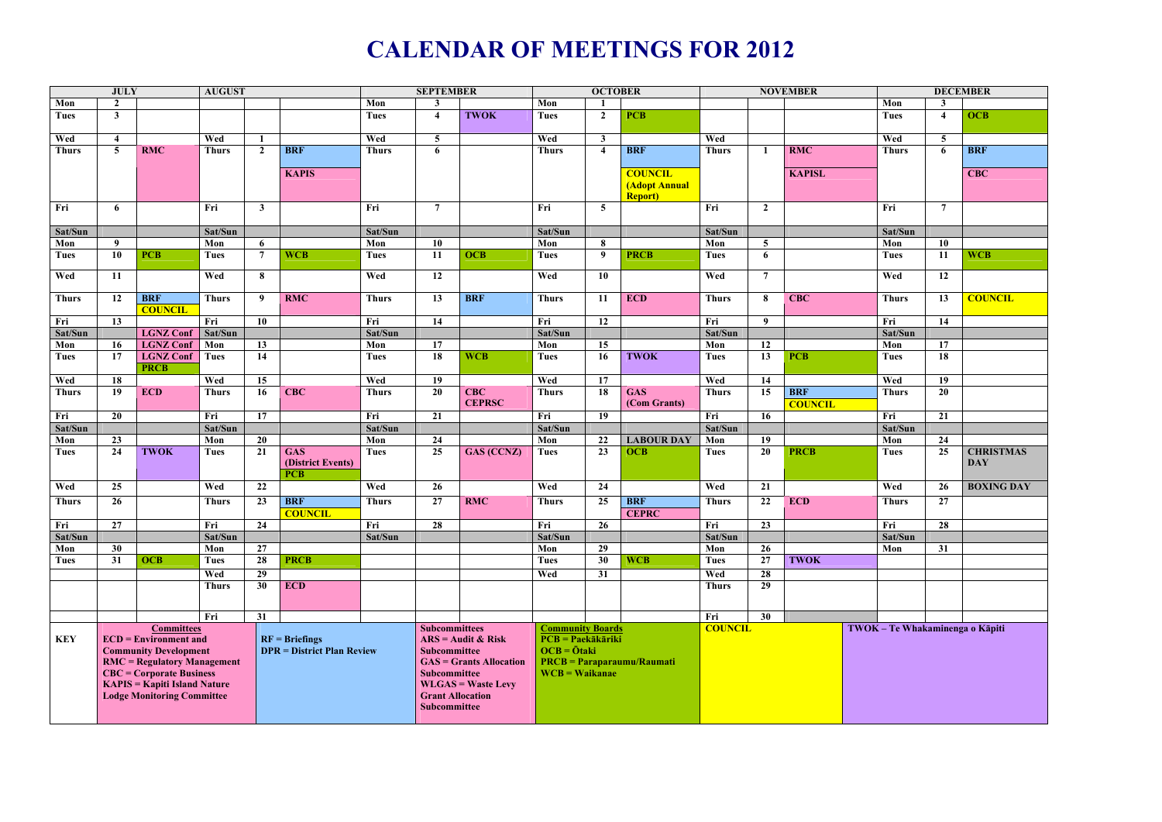## **CALENDAR OF MEETINGS FOR 2012**

| <b>JULY</b>         |                                                                                                                                                                                                                              |                  | <b>AUGUST</b>       |                                                       |                                               |                     | <b>SEPTEMBER</b>                                                                                                                                                              |                   |                                                                                                                   | <b>OCTOBER</b>          |                                         |                | <b>NOVEMBER</b>                 |                |                | <b>DECEMBER</b>         |                                |  |
|---------------------|------------------------------------------------------------------------------------------------------------------------------------------------------------------------------------------------------------------------------|------------------|---------------------|-------------------------------------------------------|-----------------------------------------------|---------------------|-------------------------------------------------------------------------------------------------------------------------------------------------------------------------------|-------------------|-------------------------------------------------------------------------------------------------------------------|-------------------------|-----------------------------------------|----------------|---------------------------------|----------------|----------------|-------------------------|--------------------------------|--|
| Mon                 | $\overline{2}$                                                                                                                                                                                                               |                  |                     |                                                       |                                               | Mon                 | 3                                                                                                                                                                             |                   | Mon                                                                                                               |                         |                                         |                |                                 |                | Mon            |                         |                                |  |
| Tues                | $\mathbf{3}$                                                                                                                                                                                                                 |                  |                     |                                                       |                                               | <b>Tues</b>         | $\overline{\mathbf{4}}$                                                                                                                                                       | <b>TWOK</b>       | <b>Tues</b>                                                                                                       | $\overline{2}$          | <b>PCB</b>                              |                |                                 |                | <b>Tues</b>    | $\overline{\mathbf{4}}$ | <b>OCB</b>                     |  |
| Wed                 | $\overline{\mathbf{4}}$                                                                                                                                                                                                      |                  | Wed                 | $\mathbf{1}$                                          |                                               | Wed                 | $\overline{5}$                                                                                                                                                                |                   | Wed                                                                                                               | $\mathbf{3}$            |                                         | Wed            |                                 |                | Wed            | $\overline{5}$          |                                |  |
| <b>Thurs</b>        | $\overline{5}$                                                                                                                                                                                                               | <b>RMC</b>       | <b>Thurs</b>        | $\overline{2}$                                        | <b>BRF</b>                                    | <b>Thurs</b>        | 6                                                                                                                                                                             |                   | <b>Thurs</b>                                                                                                      | $\overline{\mathbf{4}}$ | <b>BRF</b>                              | <b>Thurs</b>   |                                 | <b>RMC</b>     | <b>Thurs</b>   | 6                       | <b>BRF</b>                     |  |
|                     |                                                                                                                                                                                                                              |                  |                     |                                                       |                                               |                     |                                                                                                                                                                               |                   |                                                                                                                   |                         |                                         |                |                                 |                |                |                         |                                |  |
|                     |                                                                                                                                                                                                                              |                  |                     |                                                       | <b>KAPIS</b>                                  |                     |                                                                                                                                                                               |                   |                                                                                                                   |                         | <b>COUNCIL</b>                          |                |                                 | <b>KAPISL</b>  |                |                         | <b>CBC</b>                     |  |
|                     |                                                                                                                                                                                                                              |                  |                     |                                                       |                                               |                     |                                                                                                                                                                               |                   |                                                                                                                   |                         | <b>(Adopt Annual</b><br><b>Report</b> ) |                |                                 |                |                |                         |                                |  |
| Fri                 | 6                                                                                                                                                                                                                            |                  | Fri                 | $\mathbf{3}$                                          |                                               | Fri                 | $\overline{7}$                                                                                                                                                                |                   | Fri                                                                                                               | 5                       |                                         | Fri            | $\overline{2}$                  |                | Fri            | $\overline{7}$          |                                |  |
| Sat/Sun             |                                                                                                                                                                                                                              |                  | Sat/Sun             |                                                       |                                               | Sat/Sun             |                                                                                                                                                                               |                   | Sat/Sun                                                                                                           |                         |                                         | Sat/Sun        |                                 |                | Sat/Sun        |                         |                                |  |
| Mon                 | 9                                                                                                                                                                                                                            |                  | Mon                 | 6                                                     |                                               | Mon                 | 10                                                                                                                                                                            |                   | Mon                                                                                                               | -8                      |                                         | Mon            | $5\overline{)}$                 |                | Mon            | 10                      |                                |  |
| Tues                | 10                                                                                                                                                                                                                           | <b>PCB</b>       | <b>Tues</b>         | $7^{\circ}$                                           | <b>WCB</b>                                    | <b>Tues</b>         | 11                                                                                                                                                                            | <b>OCB</b>        | <b>Tues</b>                                                                                                       | 9                       | <b>PRCB</b>                             | <b>Tues</b>    | 6                               |                | <b>Tues</b>    | 11                      | <b>WCB</b>                     |  |
| Wed                 | 11                                                                                                                                                                                                                           |                  | Wed                 | 8                                                     |                                               | Wed                 | 12                                                                                                                                                                            |                   | Wed                                                                                                               | 10                      |                                         | Wed            | $\overline{7}$                  |                | Wed            | 12                      |                                |  |
| <b>Thurs</b>        | 12                                                                                                                                                                                                                           | <b>BRF</b>       | <b>Thurs</b>        | 9                                                     | <b>RMC</b>                                    | <b>Thurs</b>        | 13                                                                                                                                                                            | <b>BRF</b>        | <b>Thurs</b>                                                                                                      | -11                     | <b>ECD</b>                              | <b>Thurs</b>   | 8                               | <b>CBC</b>     | <b>Thurs</b>   | 13                      | <b>COUNCIL</b>                 |  |
|                     |                                                                                                                                                                                                                              | <b>COUNCIL</b>   |                     |                                                       |                                               |                     |                                                                                                                                                                               |                   |                                                                                                                   |                         |                                         |                |                                 |                |                |                         |                                |  |
| Fri<br>Sat/Sun      | 13                                                                                                                                                                                                                           | <b>LGNZ Conf</b> | Fri<br>Sat/Sun      | <b>10</b>                                             |                                               | Fri<br>Sat/Sun      | 14                                                                                                                                                                            |                   | Fri<br>Sat/Sun                                                                                                    | <b>12</b>               |                                         | Fri<br>Sat/Sun | 9                               |                | Fri<br>Sat/Sun | 14                      |                                |  |
| Mon                 | 16                                                                                                                                                                                                                           | <b>LGNZ Conf</b> | Mon                 | 13                                                    |                                               | Mon                 | 17                                                                                                                                                                            |                   | Mon                                                                                                               | 15                      |                                         | Mon            | <b>12</b>                       |                | Mon            | 17                      |                                |  |
| <b>Tues</b>         | 17                                                                                                                                                                                                                           | <b>LGNZ Conf</b> | <b>Tues</b>         | 14                                                    |                                               | <b>Tues</b>         | 18                                                                                                                                                                            | <b>WCB</b>        | <b>Tues</b>                                                                                                       | <b>16</b>               | <b>TWOK</b>                             | <b>Tues</b>    | 13                              | <b>PCB</b>     | <b>Tues</b>    | 18                      |                                |  |
|                     |                                                                                                                                                                                                                              | <b>PRCB</b>      |                     |                                                       |                                               |                     |                                                                                                                                                                               |                   | Wed                                                                                                               | 17                      |                                         | Wed            |                                 |                | Wed            |                         |                                |  |
| Wed<br><b>Thurs</b> | 18<br>19                                                                                                                                                                                                                     | <b>ECD</b>       | Wed<br><b>Thurs</b> | 15<br>16                                              | <b>CBC</b>                                    | Wed<br><b>Thurs</b> | 19<br>20                                                                                                                                                                      | <b>CBC</b>        | <b>Thurs</b>                                                                                                      | 18                      | <b>GAS</b>                              | <b>Thurs</b>   | 14<br>15                        | <b>BRF</b>     | <b>Thurs</b>   | 19<br>20                |                                |  |
|                     |                                                                                                                                                                                                                              |                  |                     |                                                       |                                               |                     |                                                                                                                                                                               | <b>CEPRSC</b>     |                                                                                                                   |                         | (Com Grants)                            |                |                                 | <b>COUNCIL</b> |                |                         |                                |  |
| Fri                 | 20                                                                                                                                                                                                                           |                  | Fri                 | 17                                                    |                                               | Fri                 | 21                                                                                                                                                                            |                   | Fri                                                                                                               | 19                      |                                         | Fri            | <b>16</b>                       |                | Fri            | 21                      |                                |  |
| Sat/Sun             |                                                                                                                                                                                                                              |                  | Sat/Sun             |                                                       |                                               | Sat/Sun             |                                                                                                                                                                               |                   | Sat/Sun                                                                                                           |                         |                                         | Sat/Sun        |                                 |                | Sat/Sun        |                         |                                |  |
| Mon                 | 23                                                                                                                                                                                                                           |                  | Mon                 | 20                                                    |                                               | Mon                 | 24                                                                                                                                                                            |                   | Mon                                                                                                               | 22                      | <b>LABOUR DAY</b>                       | Mon            | 19                              |                | Mon            | 24                      |                                |  |
| <b>Tues</b>         | 24                                                                                                                                                                                                                           | <b>TWOK</b>      | <b>Tues</b>         | 21                                                    | <b>GAS</b><br>(District Events)<br><b>PCB</b> | <b>Tues</b>         | 25                                                                                                                                                                            | <b>GAS (CCNZ)</b> | <b>Tues</b>                                                                                                       | 23                      | <b>OCB</b>                              | <b>Tues</b>    | 20                              | <b>PRCB</b>    | <b>Tues</b>    | 25                      | <b>CHRISTMAS</b><br><b>DAY</b> |  |
| Wed                 | 25                                                                                                                                                                                                                           |                  | Wed                 | 22                                                    |                                               | Wed                 | 26                                                                                                                                                                            |                   | Wed                                                                                                               | 24                      |                                         | Wed            | 21                              |                | Wed            | 26                      | <b>BOXING DAY</b>              |  |
| <b>Thurs</b>        | 26                                                                                                                                                                                                                           |                  | <b>Thurs</b>        | 23                                                    | <b>BRF</b>                                    | <b>Thurs</b>        | 27                                                                                                                                                                            | <b>RMC</b>        | <b>Thurs</b>                                                                                                      | 25                      | <b>BRF</b>                              | <b>Thurs</b>   | 22                              | <b>ECD</b>     | <b>Thurs</b>   | 27                      |                                |  |
| Fri                 | 27                                                                                                                                                                                                                           |                  | Fri                 | $\overline{24}$                                       | <b>COUNCIL</b>                                | Fri                 | $\overline{28}$                                                                                                                                                               |                   | Fri                                                                                                               | 26                      | <b>CEPRC</b>                            | Fri            | $\overline{23}$                 |                | Fri            | 28                      |                                |  |
| Sat/Sun             |                                                                                                                                                                                                                              |                  | Sat/Sun             |                                                       |                                               | Sat/Sun             |                                                                                                                                                                               |                   | Sat/Sun                                                                                                           |                         |                                         | Sat/Sun        |                                 |                | Sat/Sun        |                         |                                |  |
| Mon                 | 30                                                                                                                                                                                                                           |                  | Mon                 | 27                                                    |                                               |                     |                                                                                                                                                                               |                   | Mon                                                                                                               | 29                      |                                         | Mon            | 26                              |                | Mon            | 31                      |                                |  |
| Tues                | 31                                                                                                                                                                                                                           | <b>OCB</b>       | <b>Tues</b>         | 28                                                    | <b>PRCB</b>                                   |                     |                                                                                                                                                                               |                   | <b>Tues</b>                                                                                                       | 30                      | <b>WCB</b>                              | <b>Tues</b>    | 27                              | <b>TWOK</b>    |                |                         |                                |  |
|                     |                                                                                                                                                                                                                              |                  | Wed                 | 29                                                    |                                               |                     |                                                                                                                                                                               |                   | Wed                                                                                                               | 31                      |                                         | Wed            | 28                              |                |                |                         |                                |  |
|                     |                                                                                                                                                                                                                              |                  | <b>Thurs</b>        | 30                                                    | <b>ECD</b>                                    |                     |                                                                                                                                                                               |                   |                                                                                                                   |                         |                                         | <b>Thurs</b>   | 29                              |                |                |                         |                                |  |
|                     |                                                                                                                                                                                                                              |                  |                     |                                                       |                                               |                     |                                                                                                                                                                               |                   |                                                                                                                   |                         |                                         |                |                                 |                |                |                         |                                |  |
|                     |                                                                                                                                                                                                                              |                  |                     |                                                       |                                               |                     |                                                                                                                                                                               |                   |                                                                                                                   |                         |                                         |                |                                 |                |                |                         |                                |  |
|                     |                                                                                                                                                                                                                              |                  | Fri<br>31           |                                                       | <b>Subcommittees</b>                          |                     | <b>Community Boards</b>                                                                                                                                                       |                   |                                                                                                                   | Fri                     | 30                                      |                | TWOK - Te Whakaminenga o Kāpiti |                |                |                         |                                |  |
| <b>KEY</b>          | <b>Committees</b><br>$ECD = Environment$ and<br><b>Community Development</b><br>$RMC = Regularory Management$<br><b>CBC</b> = Corporate Business<br><b>KAPIS = Kapiti Island Nature</b><br><b>Lodge Monitoring Committee</b> |                  |                     | $RF = Briefings$<br><b>DPR</b> = District Plan Review |                                               |                     | $ARS = \text{Audit} \& \text{Risk}$<br>Subcommittee<br><b>GAS = Grants Allocation</b><br>Subcommittee<br><b>WLGAS = Waste Levy</b><br><b>Grant Allocation</b><br>Subcommittee |                   | $PCB = Paekākāriki$<br>$OCB = \bar{O}$ taki<br>$\mathbf{PRCB} = \mathbf{Paraparaumu/Raumati}$<br>$WCB = Waikanae$ |                         |                                         | <b>COUNCIL</b> |                                 |                |                |                         |                                |  |
|                     |                                                                                                                                                                                                                              |                  |                     |                                                       |                                               |                     |                                                                                                                                                                               |                   |                                                                                                                   |                         |                                         |                |                                 |                |                |                         |                                |  |